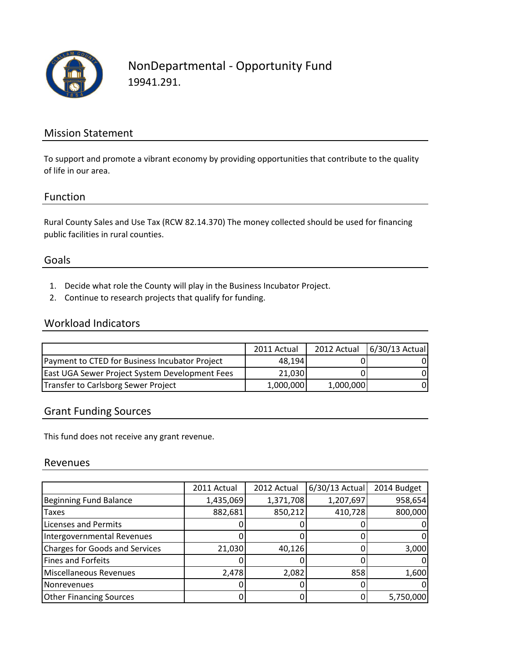

## NonDepartmental - Opportunity Fund 19941.291.

### Mission Statement

To support and promote a vibrant economy by providing opportunities that contribute to the quality of life in our area.

#### Function

Rural County Sales and Use Tax (RCW 82.14.370) The money collected should be used for financing public facilities in rural counties.

### Goals

- 1. Decide what role the County will play in the Business Incubator Project.
- 2. Continue to research projects that qualify for funding.

### Workload Indicators

|                                                | 2011 Actual |           | 2012 Actual 6/30/13 Actual |
|------------------------------------------------|-------------|-----------|----------------------------|
| Payment to CTED for Business Incubator Project | 48.194      |           | ΩI                         |
| East UGA Sewer Project System Development Fees | 21,030      |           | ΩI                         |
| Transfer to Carlsborg Sewer Project            | 1,000,000   | 1,000,000 | ΩI                         |

#### Grant Funding Sources

This fund does not receive any grant revenue.

#### Revenues

|                                       | 2011 Actual | 2012 Actual | 6/30/13 Actual | 2014 Budget |
|---------------------------------------|-------------|-------------|----------------|-------------|
| <b>Beginning Fund Balance</b>         | 1,435,069   | 1,371,708   | 1,207,697      | 958,654     |
| <b>Taxes</b>                          | 882,681     | 850,212     | 410,728        | 800,000     |
| <b>Licenses and Permits</b>           |             |             |                |             |
| Intergovernmental Revenues            |             |             |                |             |
| <b>Charges for Goods and Services</b> | 21,030      | 40,126      |                | 3,000       |
| <b>Fines and Forfeits</b>             |             |             |                |             |
| Miscellaneous Revenues                | 2,478       | 2,082       | 858            | 1,600       |
| Nonrevenues                           |             |             |                |             |
| <b>Other Financing Sources</b>        |             |             |                | 5,750,000   |